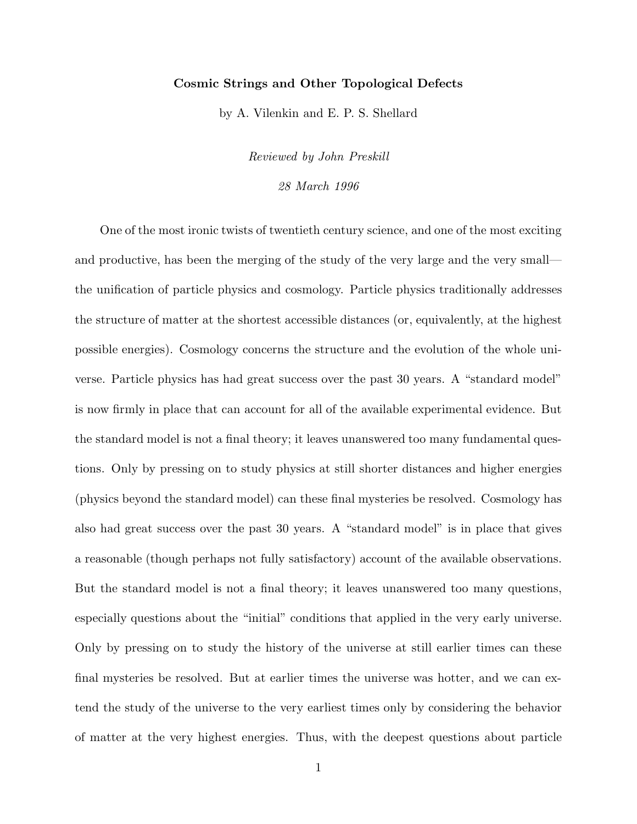## Cosmic Strings and Other Topological Defects

by A. Vilenkin and E. P. S. Shellard

Reviewed by John Preskill 28 March 1996

One of the most ironic twists of twentieth century science, and one of the most exciting and productive, has been the merging of the study of the very large and the very small the unification of particle physics and cosmology. Particle physics traditionally addresses the structure of matter at the shortest accessible distances (or, equivalently, at the highest possible energies). Cosmology concerns the structure and the evolution of the whole universe. Particle physics has had great success over the past 30 years. A "standard model" is now firmly in place that can account for all of the available experimental evidence. But the standard model is not a final theory; it leaves unanswered too many fundamental questions. Only by pressing on to study physics at still shorter distances and higher energies (physics beyond the standard model) can these final mysteries be resolved. Cosmology has also had great success over the past 30 years. A "standard model" is in place that gives a reasonable (though perhaps not fully satisfactory) account of the available observations. But the standard model is not a final theory; it leaves unanswered too many questions, especially questions about the "initial" conditions that applied in the very early universe. Only by pressing on to study the history of the universe at still earlier times can these final mysteries be resolved. But at earlier times the universe was hotter, and we can extend the study of the universe to the very earliest times only by considering the behavior of matter at the very highest energies. Thus, with the deepest questions about particle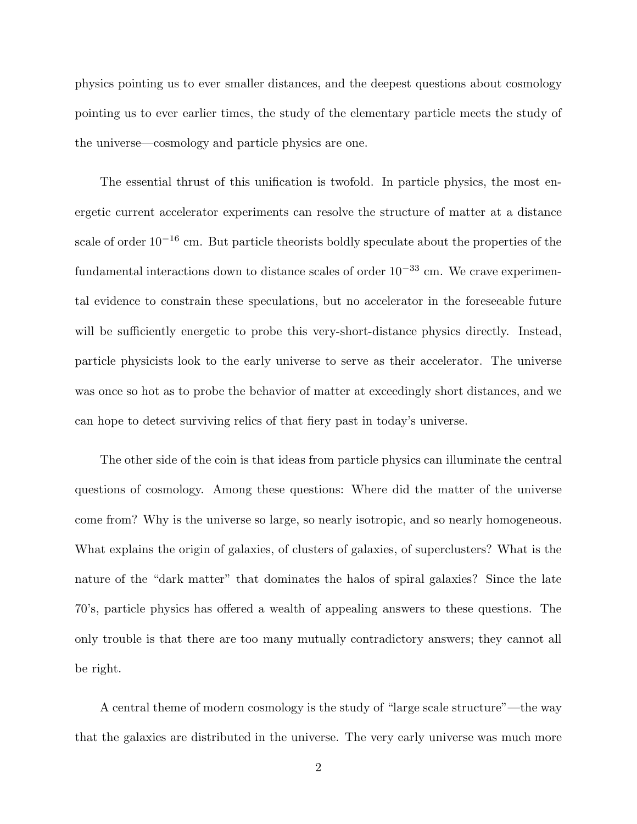physics pointing us to ever smaller distances, and the deepest questions about cosmology pointing us to ever earlier times, the study of the elementary particle meets the study of the universe—cosmology and particle physics are one.

The essential thrust of this unification is twofold. In particle physics, the most energetic current accelerator experiments can resolve the structure of matter at a distance scale of order  $10^{-16}$  cm. But particle theorists boldly speculate about the properties of the fundamental interactions down to distance scales of order  $10^{-33}$  cm. We crave experimental evidence to constrain these speculations, but no accelerator in the foreseeable future will be sufficiently energetic to probe this very-short-distance physics directly. Instead, particle physicists look to the early universe to serve as their accelerator. The universe was once so hot as to probe the behavior of matter at exceedingly short distances, and we can hope to detect surviving relics of that fiery past in today's universe.

The other side of the coin is that ideas from particle physics can illuminate the central questions of cosmology. Among these questions: Where did the matter of the universe come from? Why is the universe so large, so nearly isotropic, and so nearly homogeneous. What explains the origin of galaxies, of clusters of galaxies, of superclusters? What is the nature of the "dark matter" that dominates the halos of spiral galaxies? Since the late 70's, particle physics has offered a wealth of appealing answers to these questions. The only trouble is that there are too many mutually contradictory answers; they cannot all be right.

A central theme of modern cosmology is the study of "large scale structure"—the way that the galaxies are distributed in the universe. The very early universe was much more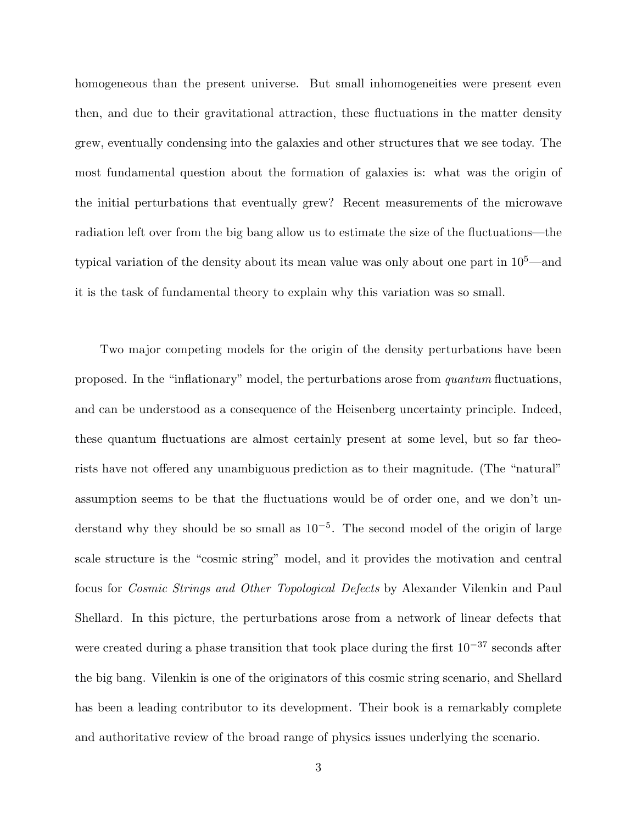homogeneous than the present universe. But small inhomogeneities were present even then, and due to their gravitational attraction, these fluctuations in the matter density grew, eventually condensing into the galaxies and other structures that we see today. The most fundamental question about the formation of galaxies is: what was the origin of the initial perturbations that eventually grew? Recent measurements of the microwave radiation left over from the big bang allow us to estimate the size of the fluctuations—the typical variation of the density about its mean value was only about one part in 10<sup>5</sup>—and it is the task of fundamental theory to explain why this variation was so small.

Two major competing models for the origin of the density perturbations have been proposed. In the "inflationary" model, the perturbations arose from quantum fluctuations, and can be understood as a consequence of the Heisenberg uncertainty principle. Indeed, these quantum fluctuations are almost certainly present at some level, but so far theorists have not offered any unambiguous prediction as to their magnitude. (The "natural" assumption seems to be that the fluctuations would be of order one, and we don't understand why they should be so small as  $10^{-5}$ . The second model of the origin of large scale structure is the "cosmic string" model, and it provides the motivation and central focus for Cosmic Strings and Other Topological Defects by Alexander Vilenkin and Paul Shellard. In this picture, the perturbations arose from a network of linear defects that were created during a phase transition that took place during the first  $10^{-37}$  seconds after the big bang. Vilenkin is one of the originators of this cosmic string scenario, and Shellard has been a leading contributor to its development. Their book is a remarkably complete and authoritative review of the broad range of physics issues underlying the scenario.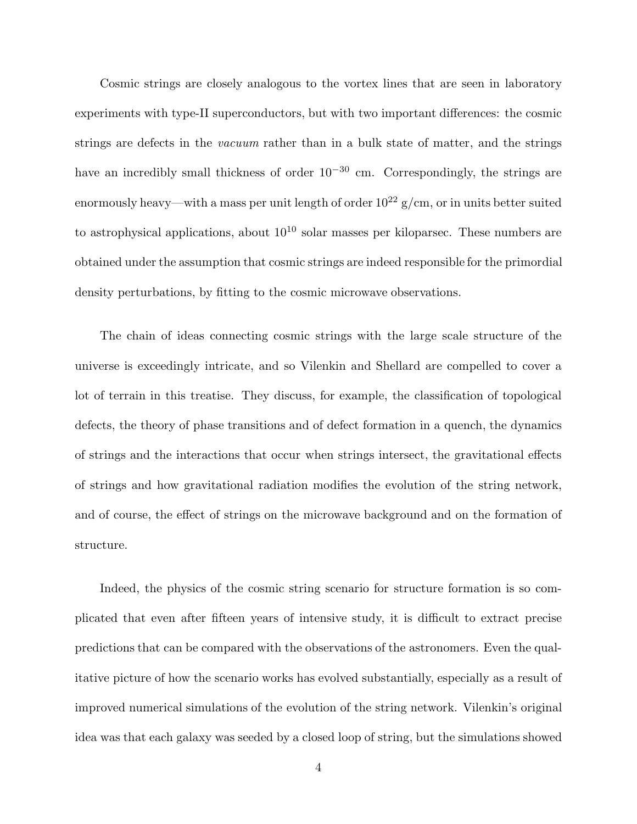Cosmic strings are closely analogous to the vortex lines that are seen in laboratory experiments with type-II superconductors, but with two important differences: the cosmic strings are defects in the vacuum rather than in a bulk state of matter, and the strings have an incredibly small thickness of order  $10^{-30}$  cm. Correspondingly, the strings are enormously heavy—with a mass per unit length of order  $10^{22}$  g/cm, or in units better suited to astrophysical applications, about  $10^{10}$  solar masses per kiloparsec. These numbers are obtained under the assumption that cosmic strings are indeed responsible for the primordial density perturbations, by fitting to the cosmic microwave observations.

The chain of ideas connecting cosmic strings with the large scale structure of the universe is exceedingly intricate, and so Vilenkin and Shellard are compelled to cover a lot of terrain in this treatise. They discuss, for example, the classification of topological defects, the theory of phase transitions and of defect formation in a quench, the dynamics of strings and the interactions that occur when strings intersect, the gravitational effects of strings and how gravitational radiation modifies the evolution of the string network, and of course, the effect of strings on the microwave background and on the formation of structure.

Indeed, the physics of the cosmic string scenario for structure formation is so complicated that even after fifteen years of intensive study, it is difficult to extract precise predictions that can be compared with the observations of the astronomers. Even the qualitative picture of how the scenario works has evolved substantially, especially as a result of improved numerical simulations of the evolution of the string network. Vilenkin's original idea was that each galaxy was seeded by a closed loop of string, but the simulations showed